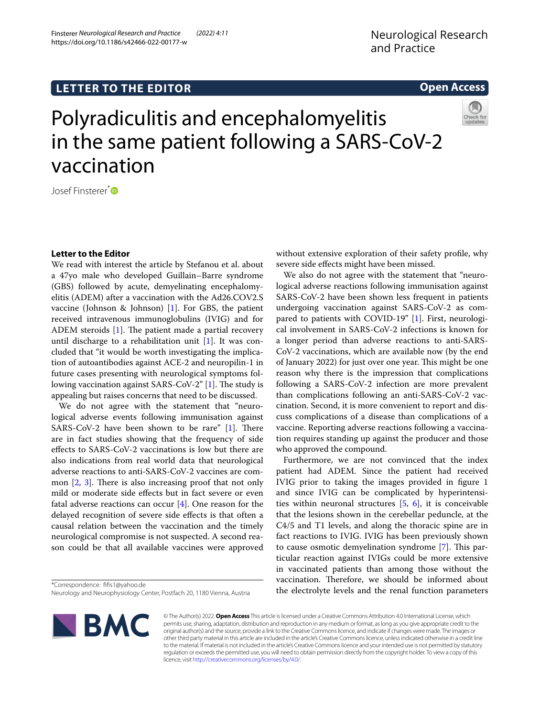# **LETTER TO THE EDITOR**

# Polyradiculitis and encephalomyelitis in the same patient following a SARS-CoV-2 vaccination

Josef Finsterer<sup>[\\*](http://orcid.org/0000-0003-2839-7305)</sup><sup>D</sup>

# **Letter to the Editor**

We read with interest the article by Stefanou et al. about a 47yo male who developed Guillain–Barre syndrome (GBS) followed by acute, demyelinating encephalomyelitis (ADEM) after a vaccination with the Ad26.COV2.S vaccine (Johnson & Johnson) [[1\]](#page-1-0). For GBS, the patient received intravenous immunoglobulins (IVIG) and for ADEM steroids  $[1]$  $[1]$  $[1]$ . The patient made a partial recovery until discharge to a rehabilitation unit  $[1]$  $[1]$ . It was concluded that "it would be worth investigating the implication of autoantibodies against ACE-2 and neuropilin-1 in future cases presenting with neurological symptoms fol-lowing vaccination against SARS-CoV-2" [\[1](#page-1-0)]. The study is appealing but raises concerns that need to be discussed.

We do not agree with the statement that "neurological adverse events following immunisation against SARS-CoV-2 have been shown to be rare"  $[1]$  $[1]$ . There are in fact studies showing that the frequency of side efects to SARS-CoV-2 vaccinations is low but there are also indications from real world data that neurological adverse reactions to anti-SARS-CoV-2 vaccines are common  $[2, 3]$  $[2, 3]$  $[2, 3]$ . There is also increasing proof that not only mild or moderate side efects but in fact severe or even fatal adverse reactions can occur [\[4](#page-1-3)]. One reason for the delayed recognition of severe side efects is that often a causal relation between the vaccination and the timely neurological compromise is not suspected. A second reason could be that all available vaccines were approved without extensive exploration of their safety profle, why severe side efects might have been missed.

We also do not agree with the statement that "neurological adverse reactions following immunisation against SARS-CoV-2 have been shown less frequent in patients undergoing vaccination against SARS-CoV-2 as compared to patients with COVID-19" [\[1](#page-1-0)]. First, neurological involvement in SARS-CoV-2 infections is known for a longer period than adverse reactions to anti-SARS-CoV-2 vaccinations, which are available now (by the end of January 2022) for just over one year. This might be one reason why there is the impression that complications following a SARS-CoV-2 infection are more prevalent than complications following an anti-SARS-CoV-2 vaccination. Second, it is more convenient to report and discuss complications of a disease than complications of a vaccine. Reporting adverse reactions following a vaccination requires standing up against the producer and those who approved the compound.

Furthermore, we are not convinced that the index patient had ADEM. Since the patient had received IVIG prior to taking the images provided in fgure 1 and since IVIG can be complicated by hyperintensities within neuronal structures  $[5, 6]$  $[5, 6]$  $[5, 6]$  $[5, 6]$  $[5, 6]$ , it is conceivable that the lesions shown in the cerebellar peduncle, at the C4/5 and T1 levels, and along the thoracic spine are in fact reactions to IVIG. IVIG has been previously shown to cause osmotic demyelination syndrome [\[7](#page-1-6)]. This particular reaction against IVIGs could be more extensive in vaccinated patients than among those without the vaccination. Therefore, we should be informed about the electrolyte levels and the renal function parameters

\*Correspondence: ffs1@yahoo.de Neurology and Neurophysiology Center, Postfach 20, 1180 Vienna, Austria

> © The Author(s) 2022. **Open Access** This article is licensed under a Creative Commons Attribution 4.0 International License, which permits use, sharing, adaptation, distribution and reproduction in any medium or format, as long as you give appropriate credit to the original author(s) and the source, provide a link to the Creative Commons licence, and indicate if changes were made. The images or other third party material in this article are included in the article's Creative Commons licence, unless indicated otherwise in a credit line to the material. If material is not included in the article's Creative Commons licence and your intended use is not permitted by statutory regulation or exceeds the permitted use, you will need to obtain permission directly from the copyright holder. To view a copy of this licence, visit [http://creativecommons.org/licenses/by/4.0/.](http://creativecommons.org/licenses/by/4.0/)





**Open Access**